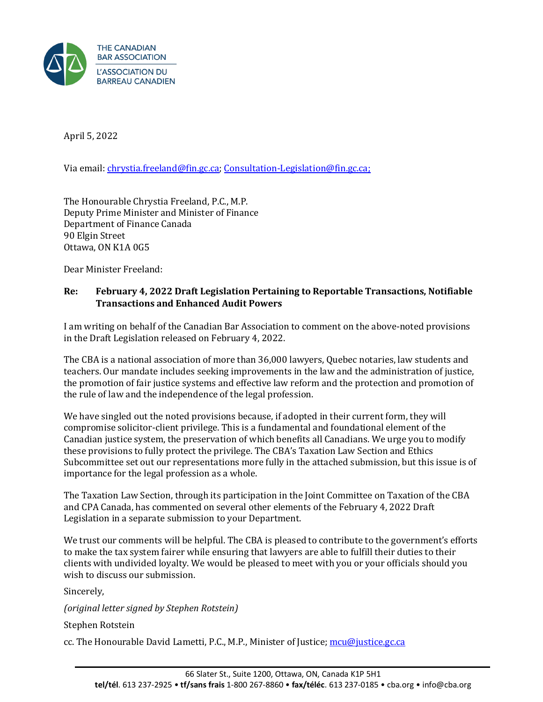

April 5, 2022

Via email: [chrystia.freeland@fin.gc.ca;](mailto:chrystia.freeland@fin.gc.ca) [Consultation-Legislation@fin.gc.ca;](mailto:Consultation-Legislation@fin.gc.ca)

The Honourable Chrystia Freeland, P.C., M.P. Deputy Prime Minister and Minister of Finance Department of Finance Canada 90 Elgin Street Ottawa, ON K1A 0G5

Dear Minister Freeland:

## **Re: February 4, 2022 Draft Legislation Pertaining to Reportable Transactions, Notifiable Transactions and Enhanced Audit Powers**

I am writing on behalf of the Canadian Bar Association to comment on the above-noted provisions in the Draft Legislation released on February 4, 2022.

The CBA is a national association of more than 36,000 lawyers, Quebec notaries, law students and teachers. Our mandate includes seeking improvements in the law and the administration of justice, the promotion of fair justice systems and effective law reform and the protection and promotion of the rule of law and the independence of the legal profession.

We have singled out the noted provisions because, if adopted in their current form, they will compromise solicitor-client privilege. This is a fundamental and foundational element of the Canadian justice system, the preservation of which benefits all Canadians. We urge you to modify these provisions to fully protect the privilege. The CBA's Taxation Law Section and Ethics Subcommittee set out our representations more fully in the attached submission, but this issue is of importance for the legal profession as a whole.

The Taxation Law Section, through its participation in the Joint Committee on Taxation of the CBA and CPA Canada, has commented on several other elements of the February 4, 2022 Draft Legislation in a separate submission to your Department.

We trust our comments will be helpful. The CBA is pleased to contribute to the government's efforts to make the tax system fairer while ensuring that lawyers are able to fulfill their duties to their clients with undivided loyalty. We would be pleased to meet with you or your officials should you wish to discuss our submission.

Sincerely,

*(original letter signed by Stephen Rotstein)*

Stephen Rotstein

cc. The Honourable David Lametti, P.C., M.P., Minister of Justice; [mcu@justice.gc.ca](mailto:mcu@justice.gc.ca)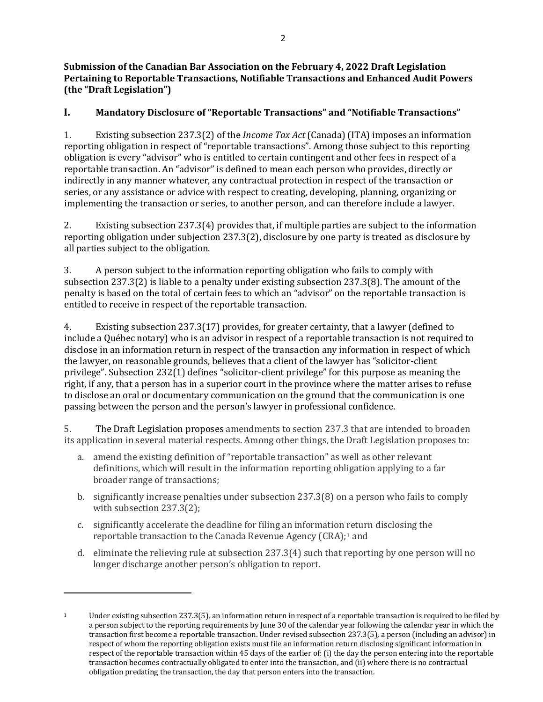**Submission of the Canadian Bar Association on the February 4, 2022 Draft Legislation Pertaining to Reportable Transactions, Notifiable Transactions and Enhanced Audit Powers (the "Draft Legislation")**

# **I. Mandatory Disclosure of "Reportable Transactions" and "Notifiable Transactions"**

1. Existing subsection 237.3(2) of the *Income Tax Act* (Canada) (ITA) imposes an information reporting obligation in respect of "reportable transactions". Among those subject to this reporting obligation is every "advisor" who is entitled to certain contingent and other fees in respect of a reportable transaction. An "advisor" is defined to mean each person who provides, directly or indirectly in any manner whatever, any contractual protection in respect of the transaction or series, or any assistance or advice with respect to creating, developing, planning, organizing or implementing the transaction or series, to another person, and can therefore include a lawyer.

2. Existing subsection 237.3(4) provides that, if multiple parties are subject to the information reporting obligation under subjection 237.3(2), disclosure by one party is treated as disclosure by all parties subject to the obligation.

3. A person subject to the information reporting obligation who fails to comply with subsection 237.3(2) is liable to a penalty under existing subsection 237.3(8). The amount of the penalty is based on the total of certain fees to which an "advisor" on the reportable transaction is entitled to receive in respect of the reportable transaction.

4. Existing subsection 237.3(17) provides, for greater certainty, that a lawyer (defined to include a Québec notary) who is an advisor in respect of a reportable transaction is not required to disclose in an information return in respect of the transaction any information in respect of which the lawyer, on reasonable grounds, believes that a client of the lawyer has "solicitor-client privilege". Subsection 232(1) defines "solicitor-client privilege" for this purpose as meaning the right, if any, that a person has in a superior court in the province where the matter arises to refuse to disclose an oral or documentary communication on the ground that the communication is one passing between the person and the person's lawyer in professional confidence.

5. The Draft Legislation proposes amendments to section 237.3 that are intended to broaden its application in several material respects. Among other things, the Draft Legislation proposes to:

- a. amend the existing definition of "reportable transaction" as well as other relevant definitions, which will result in the information reporting obligation applying to a far broader range of transactions;
- b. significantly increase penalties under subsection 237.3(8) on a person who fails to comply with subsection 237.3(2);
- c. significantly accelerate the deadline for filing an information return disclosing the reportable transaction to the Canada Revenue Agency (CRA);[1](#page-1-0) and
- d. eliminate the relieving rule at subsection 237.3(4) such that reporting by one person will no longer discharge another person's obligation to report.

<span id="page-1-0"></span><sup>1</sup> Under existing subsection 237.3(5), an information return in respect of a reportable transaction is required to be filed by a person subject to the reporting requirements by June 30 of the calendar year following the calendar year in which the transaction first become a reportable transaction. Under revised subsection 237.3(5), a person (including an advisor) in respect of whom the reporting obligation exists must file an information return disclosing significant information in respect of the reportable transaction within 45 days of the earlier of: (i) the day the person entering into the reportable transaction becomes contractually obligated to enter into the transaction, and (ii) where there is no contractual obligation predating the transaction, the day that person enters into the transaction.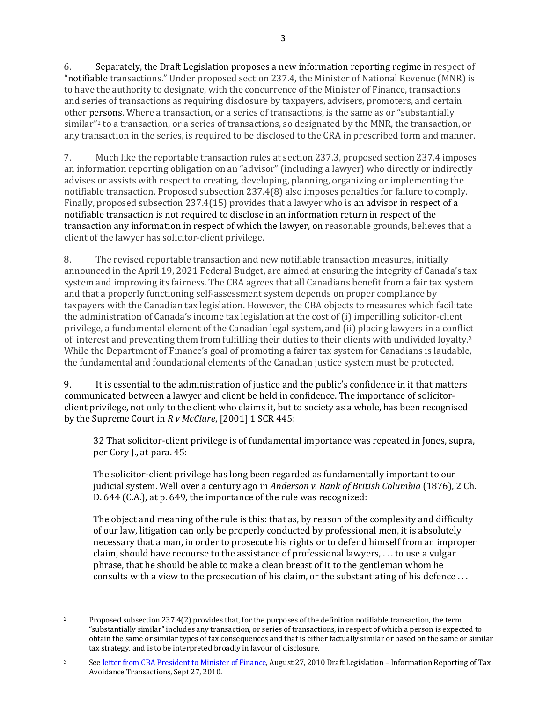6. Separately, the Draft Legislation proposes a new information reporting regime in respect of "notifiable transactions." Under proposed section 237.4, the Minister of National Revenue (MNR) is to have the authority to designate, with the concurrence of the Minister of Finance, transactions and series of transactions as requiring disclosure by taxpayers, advisers, promoters, and certain other persons. Where a transaction, or a series of transactions, is the same as or "substantially similar"[2](#page-2-0) to a transaction, or a series of transactions, so designated by the MNR, the transaction, or any transaction in the series, is required to be disclosed to the CRA in prescribed form and manner.

7. Much like the reportable transaction rules at section 237.3, proposed section 237.4 imposes an information reporting obligation on an "advisor" (including a lawyer) who directly or indirectly advises or assists with respect to creating, developing, planning, organizing or implementing the notifiable transaction. Proposed subsection 237.4(8) also imposes penalties for failure to comply. Finally, proposed subsection 237.4(15) provides that a lawyer who is an advisor in respect of a notifiable transaction is not required to disclose in an information return in respect of the transaction any information in respect of which the lawyer, on reasonable grounds, believes that a client of the lawyer has solicitor-client privilege.

8. The revised reportable transaction and new notifiable transaction measures, initially announced in the April 19, 2021 Federal Budget, are aimed at ensuring the integrity of Canada's tax system and improving its fairness. The CBA agrees that all Canadians benefit from a fair tax system and that a properly functioning self-assessment system depends on proper compliance by taxpayers with the Canadian tax legislation. However, the CBA objects to measures which facilitate the administration of Canada's income tax legislation at the cost of (i) imperilling solicitor-client privilege, a fundamental element of the Canadian legal system, and (ii) placing lawyers in a conflict of interest and preventing them from fulfilling their duties to their clients with undivided loyalty.[3](#page-2-1) While the Department of Finance's goal of promoting a fairer tax system for Canadians is laudable, the fundamental and foundational elements of the Canadian justice system must be protected.

9. It is essential to the administration of justice and the public's confidence in it that matters communicated between a lawyer and client be held in confidence. The importance of solicitorclient privilege, not only to the client who claims it, but to society as a whole, has been recognised by the Supreme Court in *R v McClure*, [2001] 1 SCR 445:

32 That solicitor-client privilege is of fundamental importance was repeated in Jones, supra, per Cory J., at para. 45:

The solicitor-client privilege has long been regarded as fundamentally important to our judicial system. Well over a century ago in *Anderson v. Bank of British Columbia* (1876), 2 Ch. D. 644 (C.A.), at p. 649, the importance of the rule was recognized:

The object and meaning of the rule is this: that as, by reason of the complexity and difficulty of our law, litigation can only be properly conducted by professional men, it is absolutely necessary that a man, in order to prosecute his rights or to defend himself from an improper claim, should have recourse to the assistance of professional lawyers, . . . to use a vulgar phrase, that he should be able to make a clean breast of it to the gentleman whom he consults with a view to the prosecution of his claim, or the substantiating of his defence . . .

<span id="page-2-0"></span><sup>2</sup> Proposed subsection 237.4(2) provides that, for the purposes of the definition notifiable transaction, the term "substantially similar" includes any transaction, or series of transactions, in respect of which a person is expected to obtain the same or similar types of tax consequences and that is either factually similar or based on the same or similar tax strategy, and is to be interpreted broadly in favour of disclosure.

<span id="page-2-1"></span><sup>3</sup> Se[e letter from CBA President to Minister of Finance,](https://www.cba.org/CMSPages/GetFile.aspx?guid=97b569c2-8dd3-4b5b-b2c5-05658b0c4c52) August 27, 2010 Draft Legislation - Information Reporting of Tax Avoidance Transactions, Sept 27, 2010.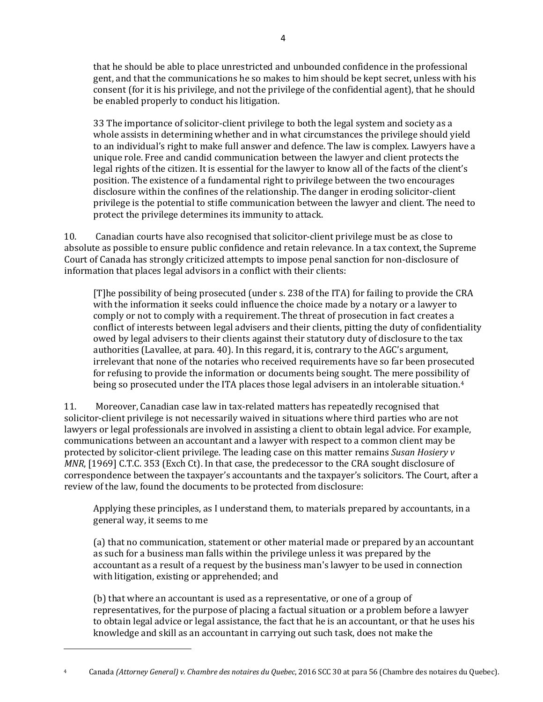that he should be able to place unrestricted and unbounded confidence in the professional gent, and that the communications he so makes to him should be kept secret, unless with his consent (for it is his privilege, and not the privilege of the confidential agent), that he should be enabled properly to conduct his litigation.

33 The importance of solicitor-client privilege to both the legal system and society as a whole assists in determining whether and in what circumstances the privilege should yield to an individual's right to make full answer and defence. The law is complex. Lawyers have a unique role. Free and candid communication between the lawyer and client protects the legal rights of the citizen. It is essential for the lawyer to know all of the facts of the client's position. The existence of a fundamental right to privilege between the two encourages disclosure within the confines of the relationship. The danger in eroding solicitor-client privilege is the potential to stifle communication between the lawyer and client. The need to protect the privilege determines its immunity to attack.

10. Canadian courts have also recognised that solicitor-client privilege must be as close to absolute as possible to ensure public confidence and retain relevance. In a tax context, the Supreme Court of Canada has strongly criticized attempts to impose penal sanction for non-disclosure of information that places legal advisors in a conflict with their clients:

[T]he possibility of being prosecuted (under s. 238 of the ITA) for failing to provide the CRA with the information it seeks could influence the choice made by a notary or a lawyer to comply or not to comply with a requirement. The threat of prosecution in fact creates a conflict of interests between legal advisers and their clients, pitting the duty of confidentiality owed by legal advisers to their clients against their statutory duty of disclosure to the tax authorities (Lavallee, at para. 40). In this regard, it is, contrary to the AGC's argument, irrelevant that none of the notaries who received requirements have so far been prosecuted for refusing to provide the information or documents being sought. The mere possibility of being so prosecuted under the ITA places those legal advisers in an intolerable situation.<sup>[4](#page-3-0)</sup>

11. Moreover, Canadian case law in tax-related matters has repeatedly recognised that solicitor-client privilege is not necessarily waived in situations where third parties who are not lawyers or legal professionals are involved in assisting a client to obtain legal advice. For example, communications between an accountant and a lawyer with respect to a common client may be protected by solicitor-client privilege. The leading case on this matter remains *Susan Hosiery v MNR*, [1969] C.T.C. 353 (Exch Ct). In that case, the predecessor to the CRA sought disclosure of correspondence between the taxpayer's accountants and the taxpayer's solicitors. The Court, after a review of the law, found the documents to be protected from disclosure:

Applying these principles, as I understand them, to materials prepared by accountants, in a general way, it seems to me

(a) that no communication, statement or other material made or prepared by an accountant as such for a business man falls within the privilege unless it was prepared by the accountant as a result of a request by the business man's lawyer to be used in connection with litigation, existing or apprehended; and

(b) that where an accountant is used as a representative, or one of a group of representatives, for the purpose of placing a factual situation or a problem before a lawyer to obtain legal advice or legal assistance, the fact that he is an accountant, or that he uses his knowledge and skill as an accountant in carrying out such task, does not make the

<span id="page-3-0"></span><sup>4</sup> Canada *(Attorney General) v. Chambre des notaires du Quebec*, 2016 SCC 30 at para 56 (Chambre des notaires du Quebec).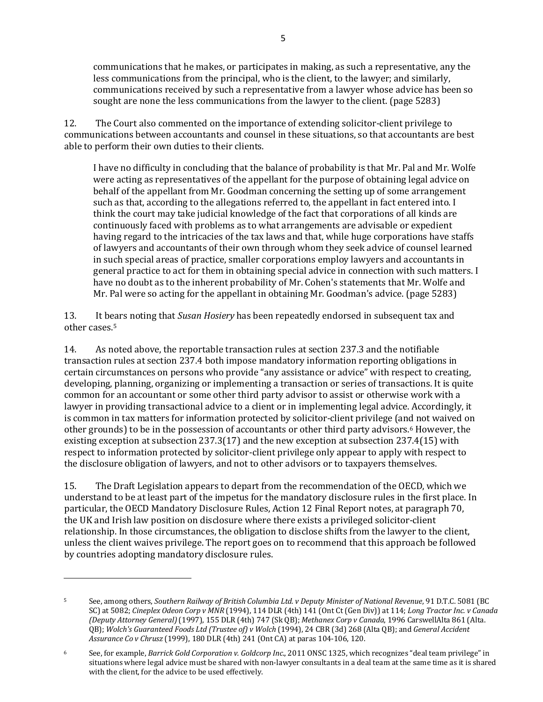communications that he makes, or participates in making, as such a representative, any the less communications from the principal, who is the client, to the lawyer; and similarly, communications received by such a representative from a lawyer whose advice has been so sought are none the less communications from the lawyer to the client. (page 5283)

12. The Court also commented on the importance of extending solicitor-client privilege to communications between accountants and counsel in these situations, so that accountants are best able to perform their own duties to their clients.

I have no difficulty in concluding that the balance of probability is that Mr. Pal and Mr. Wolfe were acting as representatives of the appellant for the purpose of obtaining legal advice on behalf of the appellant from Mr. Goodman concerning the setting up of some arrangement such as that, according to the allegations referred to, the appellant in fact entered into. I think the court may take judicial knowledge of the fact that corporations of all kinds are continuously faced with problems as to what arrangements are advisable or expedient having regard to the intricacies of the tax laws and that, while huge corporations have staffs of lawyers and accountants of their own through whom they seek advice of counsel learned in such special areas of practice, smaller corporations employ lawyers and accountants in general practice to act for them in obtaining special advice in connection with such matters. I have no doubt as to the inherent probability of Mr. Cohen's statements that Mr. Wolfe and Mr. Pal were so acting for the appellant in obtaining Mr. Goodman's advice. (page 5283)

13. It bears noting that *Susan Hosiery* has been repeatedly endorsed in subsequent tax and other cases.[5](#page-4-0)

14. As noted above, the reportable transaction rules at section 237.3 and the notifiable transaction rules at section 237.4 both impose mandatory information reporting obligations in certain circumstances on persons who provide "any assistance or advice" with respect to creating, developing, planning, organizing or implementing a transaction or series of transactions. It is quite common for an accountant or some other third party advisor to assist or otherwise work with a lawyer in providing transactional advice to a client or in implementing legal advice. Accordingly, it is common in tax matters for information protected by solicitor-client privilege (and not waived on other grounds) to be in the possession of accountants or other third party advisors[.6](#page-4-1) However, the existing exception at subsection 237.3(17) and the new exception at subsection 237.4(15) with respect to information protected by solicitor-client privilege only appear to apply with respect to the disclosure obligation of lawyers, and not to other advisors or to taxpayers themselves.

15. The Draft Legislation appears to depart from the recommendation of the OECD, which we understand to be at least part of the impetus for the mandatory disclosure rules in the first place. In particular, the OECD Mandatory Disclosure Rules, Action 12 Final Report notes, at paragraph 70, the UK and Irish law position on disclosure where there exists a privileged solicitor-client relationship. In those circumstances, the obligation to disclose shifts from the lawyer to the client, unless the client waives privilege. The report goes on to recommend that this approach be followed by countries adopting mandatory disclosure rules.

<span id="page-4-0"></span><sup>5</sup> See, among others, *Southern Railway of British Columbia Ltd. v Deputy Minister of National Revenue*, 91 D.T.C. 5081 (BC SC) at 5082; *Cineplex Odeon Corp v MNR* (1994), 114 DLR (4th) 141 (Ont Ct (Gen Div)) at 114; *Long Tractor Inc. v Canada (Deputy Attorney General)*(1997), 155 DLR (4th) 747 (Sk QB); *Methanex Corp v Canada*, 1996 CarswellAlta 861 (Alta. QB); *Wolch's Guaranteed Foods Ltd (Trustee of) v Wolch* (1994), 24 CBR (3d) 268 (Alta QB); and *General Accident Assurance Co v Chrusz* (1999), 180 DLR (4th) 241 (Ont CA) at paras 104-106, 120.

<span id="page-4-1"></span><sup>6</sup> See, for example, *Barrick Gold Corporation v. Goldcorp Inc*., 2011 ONSC 1325, which recognizes "deal team privilege" in situations where legal advice must be shared with non-lawyer consultants in a deal team at the same time as it is shared with the client, for the advice to be used effectively.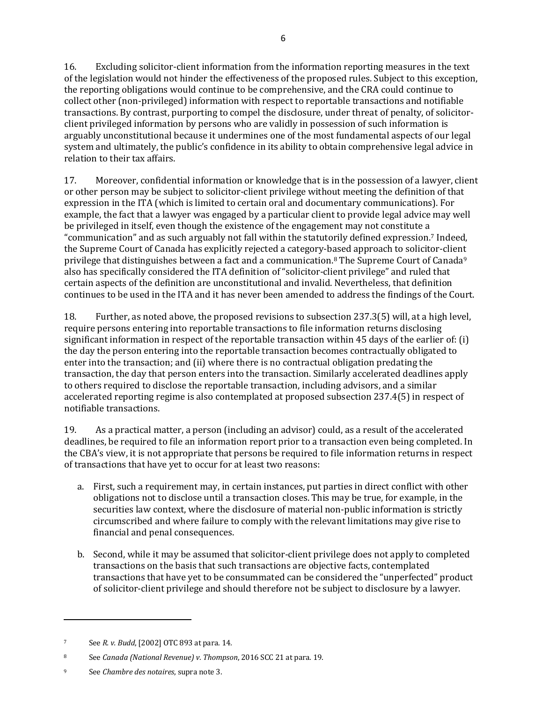16. Excluding solicitor-client information from the information reporting measures in the text of the legislation would not hinder the effectiveness of the proposed rules. Subject to this exception, the reporting obligations would continue to be comprehensive, and the CRA could continue to collect other (non-privileged) information with respect to reportable transactions and notifiable transactions. By contrast, purporting to compel the disclosure, under threat of penalty, of solicitorclient privileged information by persons who are validly in possession of such information is arguably unconstitutional because it undermines one of the most fundamental aspects of our legal system and ultimately, the public's confidence in its ability to obtain comprehensive legal advice in relation to their tax affairs.

17. Moreover, confidential information or knowledge that is in the possession of a lawyer, client or other person may be subject to solicitor-client privilege without meeting the definition of that expression in the ITA (which is limited to certain oral and documentary communications). For example, the fact that a lawyer was engaged by a particular client to provide legal advice may well be privileged in itself, even though the existence of the engagement may not constitute a "communication" and as such arguably not fall within the statutorily defined expression[.7](#page-5-0) Indeed, the Supreme Court of Canada has explicitly rejected a category-based approach to solicitor-client privilege that distinguishes between a fact and a communication.[8](#page-5-1) The Supreme Court of Canada[9](#page-5-2) also has specifically considered the ITA definition of "solicitor-client privilege" and ruled that certain aspects of the definition are unconstitutional and invalid. Nevertheless, that definition continues to be used in the ITA and it has never been amended to address the findings of the Court.

18. Further, as noted above, the proposed revisions to subsection 237.3(5) will, at a high level, require persons entering into reportable transactions to file information returns disclosing significant information in respect of the reportable transaction within 45 days of the earlier of: (i) the day the person entering into the reportable transaction becomes contractually obligated to enter into the transaction; and (ii) where there is no contractual obligation predating the transaction, the day that person enters into the transaction. Similarly accelerated deadlines apply to others required to disclose the reportable transaction, including advisors, and a similar accelerated reporting regime is also contemplated at proposed subsection 237.4(5) in respect of notifiable transactions.

19. As a practical matter, a person (including an advisor) could, as a result of the accelerated deadlines, be required to file an information report prior to a transaction even being completed. In the CBA's view, it is not appropriate that persons be required to file information returns in respect of transactions that have yet to occur for at least two reasons:

- a. First, such a requirement may, in certain instances, put parties in direct conflict with other obligations not to disclose until a transaction closes. This may be true, for example, in the securities law context, where the disclosure of material non-public information is strictly circumscribed and where failure to comply with the relevant limitations may give rise to financial and penal consequences.
- b. Second, while it may be assumed that solicitor-client privilege does not apply to completed transactions on the basis that such transactions are objective facts, contemplated transactions that have yet to be consummated can be considered the "unperfected" product of solicitor-client privilege and should therefore not be subject to disclosure by a lawyer.

<span id="page-5-0"></span><sup>7</sup> See *R. v. Budd*, [2002] OTC 893 at para. 14.

<span id="page-5-1"></span><sup>8</sup> See *Canada (National Revenue) v. Thompson*, 2016 SCC 21 at para. 19.

<span id="page-5-2"></span><sup>9</sup> See *Chambre des notaires*, supra note 3.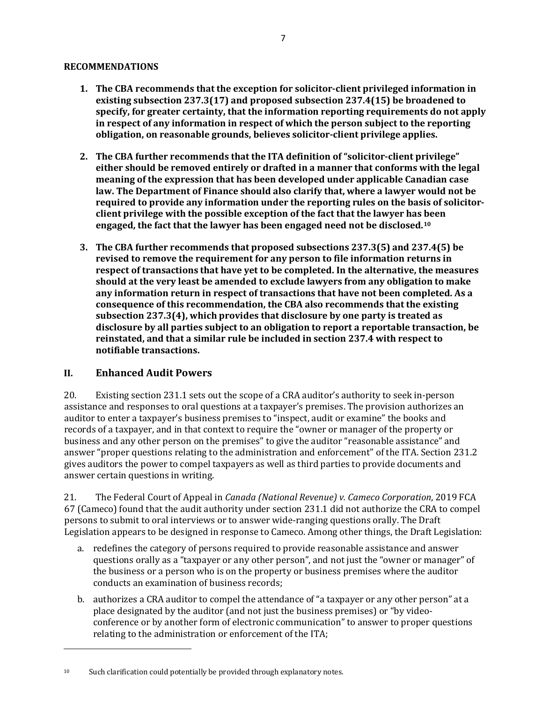#### **RECOMMENDATIONS**

- **1. The CBA recommends that the exception for solicitor-client privileged information in existing subsection 237.3(17) and proposed subsection 237.4(15) be broadened to specify, for greater certainty, that the information reporting requirements do not apply in respect of any information in respect of which the person subject to the reporting obligation, on reasonable grounds, believes solicitor-client privilege applies.**
- **2. The CBA further recommends that the ITA definition of "solicitor-client privilege" either should be removed entirely or drafted in a manner that conforms with the legal meaning of the expression that has been developed under applicable Canadian case law. The Department of Finance should also clarify that, where a lawyer would not be required to provide any information under the reporting rules on the basis of solicitorclient privilege with the possible exception of the fact that the lawyer has been engaged, the fact that the lawyer has been engaged need not be disclosed.[10](#page-6-0)**
- **3. The CBA further recommends that proposed subsections 237.3(5) and 237.4(5) be revised to remove the requirement for any person to file information returns in respect of transactions that have yet to be completed. In the alternative, the measures should at the very least be amended to exclude lawyers from any obligation to make any information return in respect of transactions that have not been completed. As a consequence of this recommendation, the CBA also recommends that the existing subsection 237.3(4), which provides that disclosure by one party is treated as disclosure by all parties subject to an obligation to report a reportable transaction, be reinstated, and that a similar rule be included in section 237.4 with respect to notifiable transactions.**

## **II. Enhanced Audit Powers**

20. Existing section 231.1 sets out the scope of a CRA auditor's authority to seek in-person assistance and responses to oral questions at a taxpayer's premises. The provision authorizes an auditor to enter a taxpayer's business premises to "inspect, audit or examine" the books and records of a taxpayer, and in that context to require the "owner or manager of the property or business and any other person on the premises" to give the auditor "reasonable assistance" and answer "proper questions relating to the administration and enforcement" of the ITA. Section 231.2 gives auditors the power to compel taxpayers as well as third parties to provide documents and answer certain questions in writing.

21. The Federal Court of Appeal in *Canada (National Revenue) v. Cameco Corporation*, 2019 FCA 67 (Cameco) found that the audit authority under section 231.1 did not authorize the CRA to compel persons to submit to oral interviews or to answer wide-ranging questions orally. The Draft Legislation appears to be designed in response to Cameco. Among other things, the Draft Legislation:

- a. redefines the category of persons required to provide reasonable assistance and answer questions orally as a "taxpayer or any other person", and not just the "owner or manager" of the business or a person who is on the property or business premises where the auditor conducts an examination of business records;
- b. authorizes a CRA auditor to compel the attendance of "a taxpayer or any other person" at a place designated by the auditor (and not just the business premises) or "by videoconference or by another form of electronic communication" to answer to proper questions relating to the administration or enforcement of the ITA;

<span id="page-6-0"></span><sup>&</sup>lt;sup>10</sup> Such clarification could potentially be provided through explanatory notes.